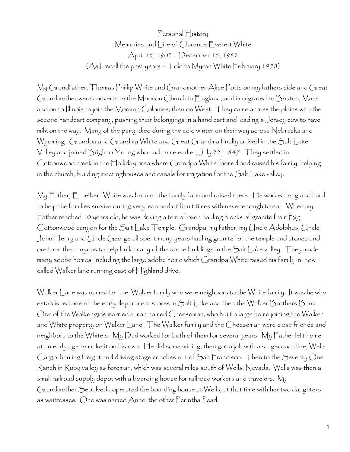Personal History Memories and Life of Clarence Everett White April 15, 1903 – December 15, 1982  $(A<sub>s</sub>)$  recall the past years –  $T$ old to Myron White  $F$ ebruary 1978)

My Grandfather, Thomas Phillip White and Grandmother Alice Potts on my fathers side and Great Grandmother were converts to the Mormon Church in England, and immigrated to Boston, Mass and on to Illinois to join the Mormon Colonies, then on West. They came across the plains with the second handcart company, pushing their belongings in a hand cart and leading a Jersey cow to have milk on the way. Many of the party died during the cold winter on their way across Nebraska and Wyoming. Grandpa and Grandma White and Great Grandma finally arrived in the Salt Lake Valley and joined Brigham Young who had come earlier, July 22, 1847. They settled in Cottonwood creek in the Holliday area where Grandpa White farmed and raised his family, helping in the church, building meetinghouses and canals for irrigation for the Salt Lake valley.

My Father, Ethelbert White was born on the family farm and raised there. He worked long and hard to help the families survive during very lean and difficult times with never enough to eat. When my  $\mathsf F$ ather reached 10 years old, he was driving a tem of oxen hauling blocks of granite from  $\mathop{\mathrm{Sig}}$ Cottonwood canyon for the Salt Lake Temple. Grandpa, my father, my Uncle Adolphus, Uncle John Henry and Uncle George all spent many years hauling granite for the temple and stones and ore from the canyons to help build many of the stone buildings in the Salt Lake valley. They made many adobe homes, including the large adobe home which Grandpa White raised his family in, now called Walker lane running east of Highland drive.

Walker Lane was named for the Walker family who were neighbors to the White family. It was he who established one of the early department stores in Salt Lake and then the Walker Brothers Bank. One of the Walker girls married a man named Cheeseman, who built a large home joining the Walker and White property on Walker Lane. The Walker family and the Cheeseman were close friends and neighbors to the White's. My Dad worked for both of them for several years. My Father left home at an early age to make it on his own. He did some mining, then got a job with a stagecoach line, Wells Cargo, hauling freight and driving stage coaches out of San Francisco. Then to the Seventy One Ranch in Ruby valley as foreman, which was several miles south of Wells, Nevada. Wells was then a small railroad supply depot with a boarding house for railroad workers and travelers. My Grandmother Sepulveda operated the boarding house at Wells, at that time with her two daughters as waitresses. One was named Anne, the other Perintha Pearl.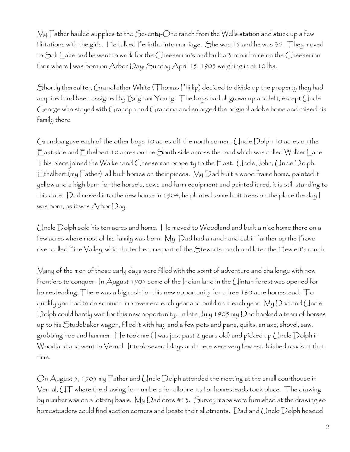My  $\Gamma$ ather hauled supplies to the Seventy-One ranch from the Wells station and stuck up a few flirtations with the girls. He talked Perintha into marriage. She was 15 and he was 35. They moved to Salt Lake and he went to work for the Cheeseman's and built a 3 room home on the Cheeseman farm where I was born on Arbor Day; Sunday April 15, 1903 weighing in at 10 lbs.

Shortly thereafter, Grandfather White (Thomas Phillip) decided to divide up the property they had acquired and been assigned by Brigham Young. The boys had all grown up and left, except Uncle George who stayed with Grandpa and Grandma and enlarged the original adobe home and raised his family there.

Grandpa gave each of the other boys 10 acres off the north corner. Uncle Dolph 10 acres on the East side and Ethelbert 10 acres on the South side across the road which was called Walker Lane. This piece joined the Walker and Cheeseman property to the East. (Jncle John, (Jncle Dolph,  $\,$ Ethelbert (my Father) all built homes on their pieces. My Dad built a wood frame home, painted it yellow and a high barn for the horse's, cows and farm equipment and painted it red, it is still standing to this date. Dad moved into the new house in 1904, he planted some fruit trees on the place the day I was born, as it was Arbor Day.

Uncle Dolph sold his ten acres and home. He moved to Woodland and built a nice home there on a few acres where most of his family was born. My Dad had a ranch and cabin farther up the Provo river called Pine Valley, which latter became part of the Stewarts ranch and later the Hewlett's ranch.

Many of the men of those early days were filled with the spirit of adventure and challenge with new frontiers to conquer. In August 1905 some of the Indian land in the Uintah forest was opened for homesteading. There was a big rush for this new opportunity for a free 160 acre homestead. To qualify you had to do so much improvement each year and build on it each year. My Dad and Uncle Dolph could hardly wait for this new opportunity. In late July 1905 my Dad hooked a team of horses up to his Studebaker wagon, filled it with hay and a few pots and pans, quilts, an axe, shovel, saw, grubbing hoe and hammer. He took me ( I was just past 2 years old) and picked up Uncle Dolph in Woodland and went to Vernal. It took several days and there were very few established roads at that time.

On August 5, 1905 my Father and Uncle Dolph attended the meeting at the small courthouse in Vernal, UT where the drawing for numbers for allotments for homesteads took place. The drawing by number was on a lottery basis. My Dad drew #13. Survey maps were furnished at the drawing so homesteaders could find section corners and locate their allotments. Dad and Uncle Dolph headed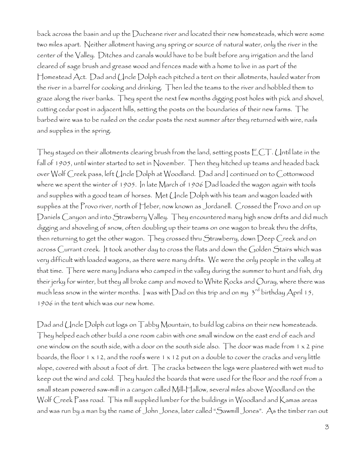back across the basin and up the Duchesne river and located their new homesteads, which were some two miles apart. Neither allotment having any spring or source of natural water, only the river in the center of the Valley. Ditches and canals would have to be built before any irrigation and the land cleared of sage brush and grease wood and fences made with a home to live in as part of the Homestead Act. Dad and Uncle Dolph each pitched a tent on their allotments, hauled water from the river in a barrel for cooking and drinking. Then led the teams to the river and hobbled them to graze along the river banks. They spent the next few months digging post holes with pick and shovel, cutting cedar post in adjacent hills, setting the posts on the boundaries of their new farms. The barbed wire was to be nailed on the cedar posts the next summer after they returned with wire, nails and supplies in the spring.

They stayed on their allotments clearing brush from the land, setting posts  $\mathbb{E}\mathsf{CT}$  . Until late in the fall of 1905, until winter started to set in November. Then they hitched up teams and headed back over Wolf Creek pass, left Uncle Dolph at Woodland. Dad and I continued on to Cottonwood where we spent the winter of 1905. In late March of 1906 Dad loaded the wagon again with tools and supplies with a good team of horses. Met Uncle Dolph with his team and wagon loaded with supplies at the Provo river, north of Heber, now known as Jordanell. Crossed the Provo and on up Daniels Canyon and into Strawberry Valley. They encountered many high snow drifts and did much digging and shoveling of snow, often doubling up their teams on one wagon to break thru the drifts, then returning to get the other wagon. They crossed thru Strawberry, down Deep Creek and on across Currant creek. It took another day to cross the flats and down the Golden Stairs which was very difficult with loaded wagons, as there were many drifts. We were the only people in the valley at that time. There were many Indians who camped in the valley during the summer to hunt and fish, dry their jerky for winter, but they all broke camp and moved to White Rocks and Ouray, where there was much less snow in the winter months. I was with Dad on this trip and on my  $3^{rd}$  birthday April 15, 1906 in the tent which was our new home.

Dad and Uncle Dolph cut logs on Tabby Mountain, to build log cabins on their new homesteads. They helped each other build a one room cabin with one small window on the east end of each and one window on the south side, with a door on the south side also. The door was made from 1 x 2 pine boards, the floor 1 x 12, and the roofs were 1 x 12 put on a double to cover the cracks and very little slope, covered with about a foot of dirt. The cracks between the logs were plastered with wet mud to keep out the wind and cold. They hauled the boards that were used for the floor and the roof from a small steam powered saw-mill in a canyon called Mill-Hallow, several miles above Woodland on the Wolf Creek Pass road. This mill supplied lumber for the buildings in Woodland and Kamas areas and was run by a man by the name of John Jones, later called "Sawmill Jones". As the timber ran out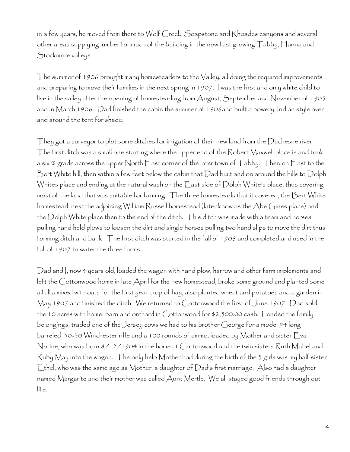in a few years, he moved from there to Wolf Creek, Soapstone and Rhoades canyons and several other areas supplying lumber for much of the building in the now fast growing Tabby, Hanna and Stockmore valleys.

The summer of 1906 brought many homesteaders to the Valley, all doing the required improvements and preparing to move their families in the next spring in 1907. I was the first and only white child to live in the valley after the opening of homesteading from August, September and November of 1905 and in March 1906. Dad finished the cabin the summer of 1906and built a bowery, Indian style over and around the tent for shade.

They got a surveyor to plot some ditches for irrigation of their new land from the Duchesne river. The first ditch was a small one starting where the upper end of the Robert Maxwell place is and took a six % grade across the upper North East corner of the later town of Tabby. Then on East to the Bert White hill, then within a few feet below the cabin that Dad built and on around the hills to Dolph Whites place and ending at the natural wash on the East side of Dolph White's place, thus covering most of the land that was suitable for farming. The three homesteads that it covered, the Bert White homestead, next the adjoining William Russell homestead (later know as the Abe Gines place) and the Dolph White place then to the end of the ditch. This ditch was made with a team and horses pulling hand held plows to loosen the dirt and single horses pulling two hand slips to move the dirt thus forming ditch and bank. The first ditch was started in the fall of 1906 and completed and used in the fall of 1907 to water the three farms.

Dad and I, now 4 years old, loaded the wagon with hand plow, harrow and other farm implements and left the Cottonwood home in late April for the new homestead, broke some ground and planted some alfalfa mixed with oats for the first year crop of hay, also planted wheat and potatoes and a garden in May 1907 and finished the ditch. We returned to Cottonwood the first of June 1907. Dad sold the 10 acres with home, barn and orchard in Cottonwood for \$2,500.00 cash. Loaded the family belongings, traded one of the Jersey cows we had to his brother George for a model 94 long barreled 30-30 Winchester rifle and a 100 rounds of ammo, loaded by Mother and sister Eva Norine, who was born 8/12/1904 in the home at Cottonwood and the twin sisters Ruth Mabel and Ruby May into the wagon. The only help Mother had during the birth of the 3 girls was my half sister  $\mathop{\boxdot}$  thel, who was the same age as Mother, a daughter of  $\mathop{\rm Dad}\nolimits$ s first marriage.  $\mathop{\rm Also}\nolimits$  had a daughter named Margarite and their mother was called Aunt Mertle. We all stayed good friends through out life.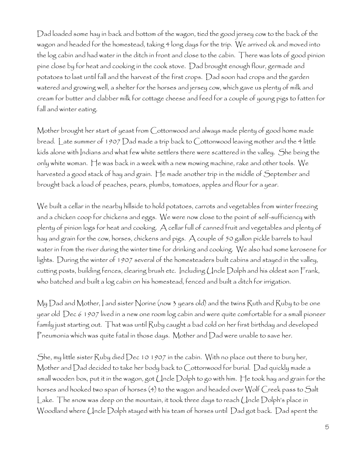Dad loaded some hay in back and bottom of the wagon, tied the good jersey cow to the back of the wagon and headed for the homestead, taking 4 long days for the trip. We arrived ok and moved into the log cabin and had water in the ditch in front and close to the cabin. There was lots of good pinion pine close by for heat and cooking in the cook stove. Dad brought enough flour, germade and potatoes to last until fall and the harvest of the first crops. Dad soon had crops and the garden watered and growing well, a shelter for the horses and jersey cow, which gave us plenty of milk and cream for butter and clabber milk for cottage cheese and feed for a couple of young pigs to fatten for fall and winter eating.

Mother brought her start of yeast from Cottonwood and always made plenty of good home made bread. Late summer of 1907 Dad made a trip back to Cottonwood leaving mother and the 4 little kids alone with Indians and what few white settlers there were scattered in the valley. She being the only white woman. He was back in a week with a new mowing machine, rake and other tools. We harvested a good stack of hay and grain. He made another trip in the middle of September and brought back a load of peaches, pears, plumbs, tomatoes, apples and flour for a year.

We built a cellar in the nearby hillside to hold potatoes, carrots and vegetables from winter freezing and a chicken coop for chickens and eggs. We were now close to the point of self-sufficiency with plenty of pinion logs for heat and cooking. A cellar full of canned fruit and vegetables and plenty of hay and grain for the cow, horses, chickens and pigs. A couple of 50 gallon pickle barrels to haul water in from the river during the winter time for drinking and cooking. We also had some kerosene for lights. During the winter of 1907 several of the homesteaders built cabins and stayed in the valley, cutting posts, building fences, clearing brush etc. Including Uncle Dolph and his oldest son Frank, who batched and built a log cabin on his homestead, fenced and built a ditch for irrigation.

My Dad and Mother, I and sister Norine (now 3 years old) and the twins Ruth and Ruby to be one year old Dec 6 1907 lived in a new one room log cabin and were quite comfortable for a small pioneer family just starting out. That was until Ruby caught a bad cold on her first birthday and developed Pneumonia which was quite fatal in those days. Mother and Dad were unable to save her.

She, my little sister Ruby died Dec 10 1907 in the cabin. With no place out there to bury her, Mother and Dad decided to take her body back to Cottonwood for burial. Dad quickly made a small wooden box, put it in the wagon, got  $\bigcup$ ncle  $D$ olph to go with him.  $\bigcap$ e took hay and grain for the horses and hooked two span of horses (4) to the wagon and headed over Wolf Creek pass to Salt Lake. The snow was deep on the mountain, it took three days to reach Uncle Dolph's place in Woodland where Uncle Dolph stayed with his team of horses until Dad got back. Dad spent the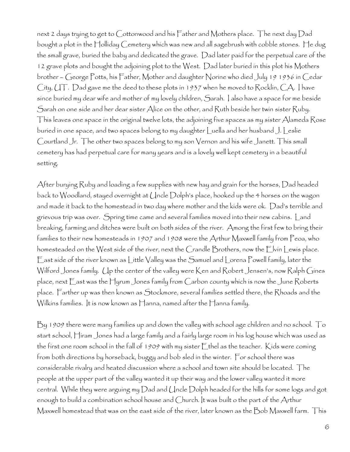next 2 days trying to get to Cottonwood and his Father and Mothers place. The next day Dad bought a plot in the Holliday Cemetery which was new and all sagebrush with cobble stones. He dug the small grave, buried the baby and dedicated the grave. Dad later paid for the perpetual care of the 12 grave plots and bought the adjoining plot to the West. Dad later buried in this plot his Mothers brother – George Potts, his Father, Mother and daughter Norine who died July 19 1936 in Cedar City, UT. Dad gave me the deed to these plots in 1937 when he moved to Rocklin, CA. I have since buried my dear wife and mother of my lovely children, Sarah. I also have a space for me beside Sarah on one side and her dear sister Alice on the other, and Ruth beside her twin sister Ruby. This leaves one space in the original twelve lots, the adjoining five spaces as my sister Alameda Rose buried in one space, and two spaces belong to my daughter Luella and her husband J. Leslie Courtland Jr. The other two spaces belong to my son Vernon and his wife Janett. This small cemetery has had perpetual care for many years and is a lovely well kept cemetery in a beautiful setting.

After burying Ruby and loading a few supplies with new hay and grain for the horses, Dad headed back to Woodland, stayed overnight at Uncle Dolph's place, hooked up the 4 horses on the wagon and made it back to the homestead in two day where mother and the kids were ok. Dad's terrible and grievous trip was over. Spring time came and several families moved into their new cabins. Land breaking, farming and ditches were built on both sides of the river. Among the first few to bring their families to their new homesteads in 1907 and 1908 were the Arthur Maxwell family from Peoa, who homesteaded on the West side of the river, next the Crandle Brothers, now the Elvin Lewis place. East side of the river known as Little Valley was the Samuel and Lorena Powell family, later the Wilford Jones family. Up the center of the valley were Ken and Robert Jensen's, now Ralph Gines place, next East was the Hyrum Jones family from Carbon county which is now the June Roberts place. Farther up was then known as Stockmore, several families settled there, the Rhoads and the Wilkins families. It is now known as Hanna, named after the Hanna family.

By 1909 there were many families up and down the valley with school age children and no school. To start school, Hiram Jones had a large family and a fairly large room in his log house which was used as the first one room school in the fall of 1909 with my sister  $\mathbb E$  thel as the teacher. Kids were coming from both directions by horseback, buggy and bob sled in the winter. For school there was considerable rivalry and heated discussion where a school and town site should be located. The people at the upper part of the valley wanted it up their way and the lower valley wanted it more central. While they were arguing my Dad and Uncle Dolph headed for the hills for some logs and got enough to build a combination school house and Church. It was built o the part of the Arthur Maxwell homestead that was on the east side of the river, later known as the Bob Maxwell farm. This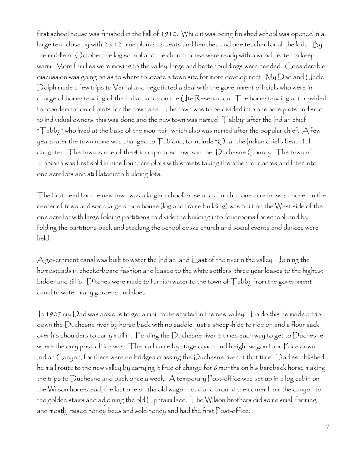first school house was finished in the fall of 1910. While it was being finished school was opened in a large tent close by with 2 x 12 pine planks as seats and benches and one teacher for all the kids. By the middle of October the log school and the church house were ready with a wood heater to keep warm. More families were moving to the valley, large and better buildings were needed. Considerable discussion was going on as to where to locate a town site for more development. My Dad and Uncle Dolph made a few trips to Vernal and negotiated a deal with the government officials who were in charge of homesteading of the Indian lands on the Ute Reservation. The homesteading act provided for condemnation of plots for the town site. The town was to be divided into one acre plots and sold to individual owners, this was done and the new town was named " $\top$ abby" after the Indian chief " $\top$ abby" who lived at the base of the mountain which also was named after the popular chief.  $\bigwedge$  few years later the town name was changed to Tabiona, to include "Ona" the Indian chiefs beautiful daughter. The town is one of the 4 incorporated towns in the Duchesne County. The town of Tabiona was first sold in nine four acre plots with streets taking the other four acres and later into one acre lots and still later into building lots.

The first need for the new town was a larger schoolhouse and church, a one acre lot was chosen in the center of town and soon large schoolhouse (log and frame building) was built on the West side of the one acre lot with large folding partitions to divide the building into four rooms for school, and by folding the partitions back and stacking the school desks church and social events and dances were held.

A government canal was built to water the Indian land  $\sqsubseteq$  ast of the river n the valley. Joining the homesteads in checkerboard fashion and leased to the white settlers three year leases to the highest bidder and till is. Ditches were made to furnish water to the town of Tabby from the government canal to water many gardens and does.

In 1907 my Dad was anxious to get a mail route started in the new valley. To do this he made a trip down the Duchesne river by horse back with no saddle, just a sheep-hide to ride on and a flour sack over his shoulders to carry mail in. Fording the Duchesne river 3 times each way to get to Duchesne where the only post-office was. The mail came by stage coach and freight wagon from Price down Indian Canyon, for there were no bridges crossing the Duchesne river at that time. Dad established he mail route to the new valley by carrying it free of charge for 6 months on his bareback horse making the trips to Duchesne and back once a week. A temporary Post-office was set up in a log cabin on the Wilson homestead, the last one on the old wagon road and around the corner from the canyon to the golden stairs and adjoining the old Ephraim lace. The Wilson brothers did some small farming and mostly raised honey bees and sold honey and had the first Post-office.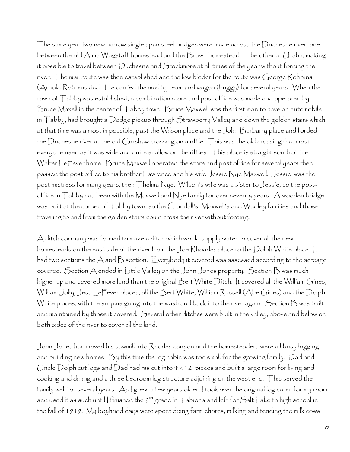The same year two new narrow single span steel bridges were made across the Duchesne river, one between the old Alma Wagstaff homestead and the Brown homestead. The other at Utahn, making it possible to travel between Duchesne and Stockmore at all times of the year without fording the river. The mail route was then established and the low bidder for the route was George Robbins (Arnold Robbins dad. He carried the mail by team and wagon (buggy) for several years. When the town of Tabby was established, a combination store and post office was made and operated by Bruce Maxell in the center of Tabby town. Bruce Maxwell was the first man to have an automobile in Tabby, had brought a Dodge pickup through Strawberry Valley and down the golden stairs which at that time was almost impossible, past the Wilson place and the John Barbarry place and forded the Duchesne river at the old Curshaw crossing on a riffle. This was the old crossing that most everyone used as it was wide and quite shallow on the riffles. This place is straight south of the Walter LeFever home. Bruce Maxwell operated the store and post office for several years then passed the post office to his brother Lawrence and his wife Jessie Nye Maxwell. Jessie was the post mistress for many years, then Thelma Nye. Wilson's wife was a sister to Jessie, so the postoffice in Tabby has been with the Maxwell and Nye family for over seventy years. A wooden bridge was built at the corner of Tabby town, so the Crandall's, Maxwell's and Wadley families and those traveling to and from the golden stairs could cross the river without fording.

 $\bm{\mathsf{A}}$  ditch company was formed to make a ditch which would supply water to cover all the new homesteads on the east side of the river from the Joe Rhoades place to the Dolph White place. It had two sections the  $\bm{\mathsf{A}}$  and  $\bm{\mathsf{B}}$  section.  $\bm{\mathsf{E}}$  verybody it covered was assessed according to the acreage covered. Section A ended in Little Valley on the John Jones property. Section B was much higher up and covered more land than the original Bert White Ditch. It covered all the William Gines, William Jolly, Jess LeFever places, all the Bert White, William Russell (Abe Gines) and the Dolph White places, with the surplus going into the wash and back into the river again. Section B was built and maintained by those it covered. Several other ditches were built in the valley, above and below on both sides of the river to cover all the land.

John Jones had moved his sawmill into Rhodes canyon and the homesteaders were all busy logging and building new homes. By this time the log cabin was too small for the growing family. Dad and Uncle Dolph cut logs and Dad had his cut into 4 x 12 pieces and built a large room for living and cooking and dining and a three bedroom log structure adjoining on the west end. This served the family well for several years. As I grew a few years older, I took over the original log cabin for my room and used it as such until | finished the  $9^{\text{th}}$  grade in  $\top$ abiona and left for Salt Lake to high school in the fall of 1919. My boyhood days were spent doing farm chores, milking and tending the milk cows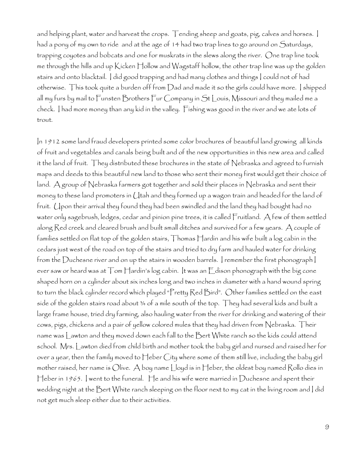and helping plant, water and harvest the crops. Tending sheep and goats, pig, calves and horses. I had a pony of my own to ride and at the age of 14 had two trap lines to go around on Saturdays, trapping coyotes and bobcats and one for muskrats in the slews along the river. One trap line took me through the hills and up Kicken Hollow and Wagstaff hollow, the other trap line was up the golden stairs and onto blacktail. I did good trapping and had many clothes and things I could not of had otherwise. This took quite a burden off from Dad and made it so the girls could have more. I shipped all my furs by mail to Funsten Brothers Fur Company in St Louis, Missouri and they mailed me a check. I had more money than any kid in the valley. Fishing was good in the river and we ate lots of trout.

In 1912 some land fraud developers printed some color brochures of beautiful land growing all kinds of fruit and vegetables and canals being built and of the new opportunities in this new area and called it the land of fruit. They distributed these brochures in the state of Nebraska and agreed to furnish maps and deeds to this beautiful new land to those who sent their money first would get their choice of land. A group of Nebraska farmers got together and sold their places in Nebraska and sent their money to these land promoters in Utah and they formed up a wagon train and headed for the land of fruit. Upon their arrival they found they had been swindled and the land they had bought had no water only sagebrush, ledges, cedar and pinion pine trees, it is called Fruitland. A few of them settled along Red creek and cleared brush and built small ditches and survived for a few years. A couple of families settled on flat top of the golden stairs, Thomas Hardin and his wife built a log cabin in the cedars just west of the road on top of the stairs and tried to dry farm and hauled water for drinking from the Duchesne river and on up the stairs in wooden barrels. I remember the first phonograph I ever saw or heard was at Tom Hardin's log cabin. It was an Edison phonograph with the big cone shaped horn on a cylinder about six inches long and two inches in diameter with a hand wound spring to turn the black cylinder record which played "Pretty Red Bird". Other families settled on the east side of the golden stairs road about ¾ of a mile south of the top. They had several kids and built a large frame house, tried dry farming, also hauling water from the river for drinking and watering of their cows, pigs, chickens and a pair of yellow colored mules that they had driven from Nebraska. Their name was Lawton and they moved down each fall to the Bert White ranch so the kids could attend school. Mrs. Lawton died from child birth and mother took the baby girl and nursed and raised her for over a year, then the family moved to Heber City where some of them still live, including the baby girl mother raised, her name is Olive. A boy name Lloyd is in Heber, the oldest boy named Rollo dies in Heber in 1965. ] went to the funeral. He and his wife were married in Duchesne and spent their wedding night at the Bert White ranch sleeping on the floor next to my cat in the living room and I did not get much sleep either due to their activities.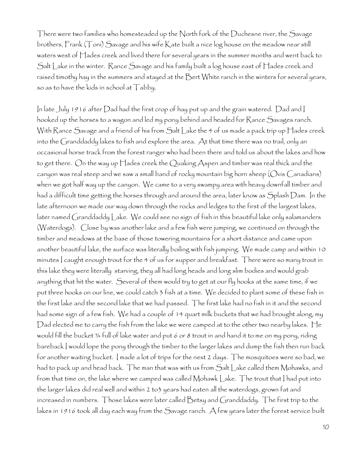There were two families who homesteaded up the North fork of the Duchesne river, the Savage brothers, Frank (Toni) Savage and his wife Kate built a nice log house on the meadow near still waters west of Hades creek and lived there for several years in the summer months and went back to Salt Lake in the winter. Rance Savage and his family built a log house east of Hades creek and raised timothy hay in the summers and stayed at the Bert White ranch in the winters for several years, so as to have the kids in school at  $\top$ abby.

In late July 1916 after Dad had the first crop of hay put up and the grain watered. Dad and I hooked up the horses to a wagon and led my pony behind and headed for Rance Savages ranch. With Rance Savage and a friend of his from Salt Lake the 4 of us made a pack trip up Hades creek into the Granddaddy lakes to fish and explore the area. At that time there was no trail, only an occasional horse track from the forest ranger who had been there and told us about the lakes and how to get there. On the way up Hades creek the Quaking Aspen and timber was real thick and the canyon was real steep and we saw a small band of rocky mountain big horn sheep (Ovis Canadians) when we got half way up the canyon. We came to a very swampy area with heavy downfall timber and had a difficult time getting the horses through and around the area, later know as Splash Dam. In the late afternoon we made our way down through the rocks and ledges to the first of the largest lakes, later named Granddaddy Lake. We could see no sign of fish in this beautiful lake only salamanders (Waterdogs). Close by was another lake and a few fish were jumping, we continued on through the timber and meadows at the base of those towering mountains for a short distance and came upon another beautiful lake, the surface was literally boiling with fish jumping. We made camp and within 10 minutes I caught enough trout for the 4 of us for supper and breakfast. There were so many trout in this lake they were literally starving, they all had long heads and long slim bodies and would grab anything that hit the water. Several of them would try to get at our fly hooks at the same time, if we put three hooks on our line, we could catch 3 fish at a time. We decided to plant some of these fish in the first lake and the second lake that we had passed. The first lake had no fish in it and the second had some sign of a few fish. We had a couple of 14 quart milk buckets that we had brought along, my Dad elected me to carry the fish from the lake we were camped at to the other two nearby lakes. He would fill the bucket ¾ full of lake water and put 6 or 8 trout in and hand it to me on my pony, riding bareback I would lope the pony through the timber to the larger lakes and dump the fish then run back for another waiting bucket. I made a lot of trips for the next 2 days. The mosquitoes were so bad, we had to pack up and head back. The man that was with us from Salt Lake called them Mohawks, and from that time on, the lake where we camped was called Mohawk Lake. The trout that I had put into the larger lakes did real well and within 2 to3 years had eaten all the waterdogs, grown fat and increased in numbers. Those lakes were later called Betsy and Granddaddy. The first trip to the lakes in 1916 took all day each way from the Savage ranch. A few years later the forest service built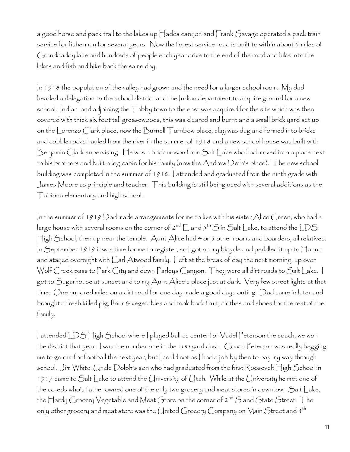a good horse and pack trail to the lakes up Hades canyon and Frank Savage operated a pack train service for fisherman for several years. Now the forest service road is built to within about 5 miles of Granddaddy lake and hundreds of people each year drive to the end of the road and hike into the lakes and fish and hike back the same day.

In 1918 the population of the valley had grown and the need for a larger school room. My dad headed a delegation to the school district and the Indian department to acquire ground for a new school. Indian land adjoining the Tabby town to the east was acquired for the site which was then covered with thick six foot tall greasewoods, this was cleared and burnt and a small brick yard set up on the Lorenzo Clark place, now the Burnell Turnbow place, clay was dug and formed into bricks and cobble rocks hauled from the river in the summer of 1918 and a new school house was built with Benjamin Clark supervising. He was a brick mason from Salt Lake who had moved into a place next to his brothers and built a log cabin for his family (now the Andrew Defa's place). The new school building was completed in the summer of 1918. I attended and graduated from the ninth grade with James Moore as principle and teacher. This building is still being used with several additions as the Tabiona elementary and high school.

In the summer of 1919 Dad made arrangements for me to live with his sister Alice Green, who had a large house with several rooms on the corner of  $2^{nd}E$  and  $5^{th}S$  in Salt Lake, to attend the LDS High School, then up near the temple. Aunt Alice had 4 or 5 other rooms and boarders, all relatives. In September 1919 it was time for me to register, so I got on my bicycle and peddled it up to Hanna and stayed overnight with Earl Atwood family. I left at the break of day the next morning, up over Wolf Creek pass to Park City and down Parleys Canyon. They were all dirt roads to Salt Lake. I got to Sugarhouse at sunset and to my Aunt Alice's place just at dark. Very few street lights at that time. One hundred miles on a dirt road for one day made a good days outing. Dad came in later and brought a fresh killed pig, flour & vegetables and took back fruit, clothes and shoes for the rest of the family.

I attended LDS High School where I played ball as center for Vadel Peterson the coach, we won the district that year. I was the number one in the 100 yard dash. Coach Peterson was really begging me to go out for football the next year, but I could not as I had a job by then to pay my way through school. Jim White, Uncle Dolph's son who had graduated from the first Roosevelt High School in 1917 came to Salt Lake to attend the University of Utah. While at the University he met one of the co-eds who's father owned one of the only two grocery and meat stores in downtown Salt Lake, the Hardy Grocery Vegetable and Meat Store on the corner of  $2^{nd}$  S and State Street. The only other grocery and meat store was the United Grocery Company on Main Street and  $4^\text{th}$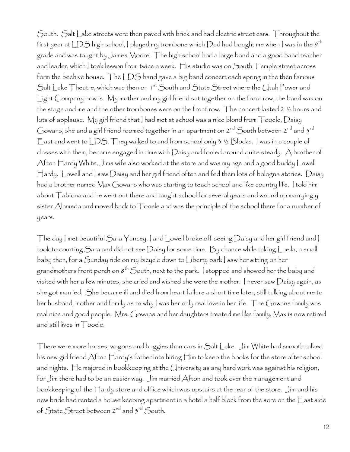South. Salt Lake streets were then paved with brick and had electric street cars. Throughout the first year at LDS high school, I played my trombone which Dad had bought me when I was in the  $9^{\text{th}}$ grade and was taught by James Moore. The high school had a large band and a good band teacher and leader, which | took lesson from twice a week. His studio was on South Temple street across form the beehive house. The LDS band gave a big band concert each spring in the then famous Salt Lake Theatre, which was then on 1<sup>st</sup> South and State Street where the Utah Power and Light Company now is. My mother and my girl friend sat together on the front row, the band was on the stage and me and the other trombones were on the front row. The concert lasted 2 ½ hours and lots of applause. My girl friend that I had met at school was a nice blond from Tooele, Daisy Gowans, she and a girl friend roomed together in an apartment on  $2^{nd}$  South between  $2^{nd}$  and  $3^{rd}$ East and went to LDS. They walked to and from school only  $3 \frac{1}{2}$  Blocks. I was in a couple of classes with them, became engaged in time with Daisy and fooled around quite steady. A brother of Afton Hardy White, Jims wife also worked at the store and was my age and a good buddy Lowell Hardy. Lowell and I saw Daisy and her girl friend often and fed them lots of bologna stories. Daisy had a brother named Max Gowans who was starting to teach school and like country life. I told him about Tabiona and he went out there and taught school for several years and wound up marrying y sister Alameda and moved back to  $\top$ ooele and was the principle of the school there for a number of years.

The day I met beautiful Sara Yancey, I and Lowell broke off seeing Daisy and her girl friend and I took to courting Sara and did not see Daisy for some time. By chance while taking Luella, a small baby then, for a Sunday ride on my bicycle down to Liberty park I saw her sitting on her grandmothers front porch on  $s<sup>th</sup>$  South, next to the park. I stopped and showed her the baby and visited with her a few minutes, she cried and wished she were the mother. I never saw Daisy again, as she got married. She became ill and died from heart failure a short time later, still talking about me to her husband, mother and family as to why I was her only real love in her life. The Gowans family was real nice and good people. Mrs. Gowans and her daughters treated me like family, Max is now retired and still lives in Tooele.

There were more horses, wagons and buggies than cars in Salt Lake. Jim White had smooth talked his new girl friend Afton Hardy's father into hiring Him to keep the books for the store after school and nights. He majored in bookkeeping at the University as any hard work was against his religion, for Jim there had to be an easier way. Jim married Afton and took over the management and bookkeeping of the Hardy store and office which was upstairs at the rear of the store. Jim and his new bride had rented a house keeping apartment in a hotel a half block from the sore on the East side of State Street between 2<sup>nd</sup> and 3<sup>rd</sup> South.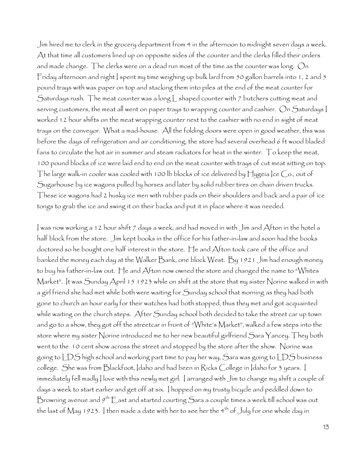Jim hired me to clerk in the grocery department from 4 in the afternoon to midnight seven days a week. At that time all customers lined up on opposite sides of the counter and the clerks filled their orders and made change. The clerks were on a dead run most of the time as the counter was long. On Friday afternoon and night I spent my time weighing up bulk lard from 50 gallon barrels into 1, 2 and 5 pound trays with wax paper on top and stacking them into piles at the end of the meat counter for Saturdays rush. The meat counter was a long  $\lfloor$  shaped counter with 7 butchers cutting meat and serving customers, the meat all went on paper trays to wrapping counter and cashier. On Saturdays I worked 12 hour shifts on the meat wrapping counter next to the cashier with no end in sight of meat trays on the conveyor. What a mad-house. All the folding doors were open in good weather, this was before the days of refrigeration and air conditioning, the store had several overhead 6 ft wood bladed fans to circulate the hot air in summer and steam radiators for heat in the winter.  $\top$ o keep the meat, 100 pound blocks of ice were laid end to end on the meat counter with trays of cut meat sitting on top. The large walk-in cooler was cooled with 100 lb blocks of ice delivered by Hygeia Ice  $\bigcirc$ o., out of Sugarhouse by ice wagons pulled by horses and later by solid rubber tires on chain driven trucks. These ice wagons had 2 husky ice men with rubber pads on their shoulders and back and a pair of ice tongs to grab the ice and swing it on their backs and put it in place where it was needed.

I was now working a 12 hour shift 7 days a week, and had moved in with Jim and Afton in the hotel a half block from the store. Jim kept books in the office for his father-in-law and soon had the books doctored so he bought one half interest in the store. He and Afton took care of the office and banked the money each day at the Walker Bank, one block West. By 1921 Jim had enough money to buy his father-in-law out. He and Afton now owned the store and changed the name to "Whites Market". It was Sunday April 15 1923 while on shift at the store that my sister Norine walked in with a girl friend she had met while both were waiting for Sunday school that morning as they had both gone to church an hour early for their watches had both stopped, thus they met and got acquainted while waiting on the church steps. After Sunday school both decided to take the street car up town and go to a show, they got off the streetcar in front of "White's Market", walked a few steps into the store where my sister Norine introduced me to her new beautiful girlfriend Sara Yancey. They both went to the 10 cent show across the street and stopped by the store after the show. Norine was going to LDS high school and working part time to pay her way, Sara was going to LDS business college. She was from Blackfoot, Idaho and had been in Ricks College in Idaho for 3 years. I immediately fell madly I love with this newly met girl. I arranged with Jim to change my shift a couple of days a week to start earlier and get off at six. I hopped on my trusty bicycle and peddled down to Browning avenue and  $g^\text{th}$   $\mathop{\hbox{\rm E}}$  ast and started courting  $\mathop{\hbox{\rm S}}$ ara a couple times a week till school was out the last of May 1923. I then made a date with her to see her the  $4^{th}$  of July for one whole day in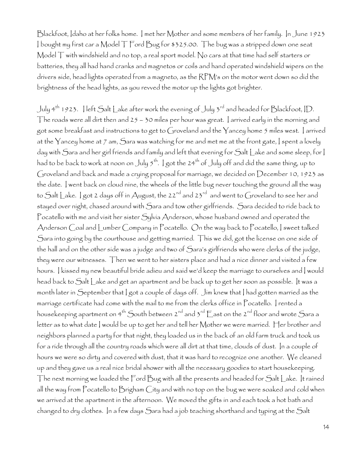Blackfoot, Idaho at her folks home. I met her Mother and some members of her family. In June 1923 I bought my first car a Model T Ford Bug for \$325.00. The bug was a stripped down one seat Model T with windshield and no top, a real sport model. No cars at that time had self starters or batteries, they all had hand cranks and magnetos or coils and hand operated windshield wipers on the drivers side, head lights operated from a magneto, as the RPM's on the motor went down so did the brightness of the head lights, as you revved the motor up the lights got brighter.

July 4th 1923. I left Salt Lake after work the evening of July 3rd and headed for Blackfoot, ID. The roads were all dirt then and  $25 - 30$  miles per hour was great. I arrived early in the morning and got some breakfast and instructions to get to Groveland and the Yancey home 5 miles west. I arrived at the Yancey home at 7 am,  $S$ ara was watching for me and met me at the front gate, I spent a lovely day with Sara and her girl friends and family and left that evening for Salt Lake and some sleep, for I had to be back to work at noon on July  $5^{\text{th}}$ . I got the 24<sup>th</sup> of July off and did the same thing, up to Groveland and back and made a crying proposal for marriage, we decided on December 10, 1923 as the date. I went back on cloud nine, the wheels of the little bug never touching the ground all the way to Salt Lake. I got 2 days off in August, the 22<sup>nd</sup> and 23<sup>rd</sup> and went to Groveland to see her and stayed over night, chased around with Sara and tow other girlfriends. Sara decided to ride back to Pocatello with me and visit her sister Sylvia Anderson, whose husband owned and operated the Anderson Coal and Lumber Company in Pocatello. On the way back to Pocatello, I sweet talked Sara into going by the courthouse and getting married. This we did, got the license on one side of the hall and on the other side was a judge and two of Sara's girlfriends who were clerks of the judge, they were our witnesses. Then we went to her sisters place and had a nice dinner and visited a few hours. I kissed my new beautiful bride adieu and said we'd keep the marriage to ourselves and I would head back to Salt Lake and get an apartment and be back up to get her soon as possible. It was a month later in September that I got a couple of days off. Jim knew that I had gotten married as the marriage certificate had come with the mail to me from the clerks office in Pocatello. I rented a housekeeping apartment on  $4^{th}$  South between  $2^{nd}$  and  $3^{rd}$   $\Xi$  ast on the  $2^{nd}$  floor and wrote Sara a letter as to what date I would be up to get her and tell her Mother we were married. Her brother and neighbors planned a party for that night, they loaded us in the back of an old farm truck and took us for a ride through all the country roads which were all dirt at that time, clouds of dust. In a couple of hours we were so dirty and covered with dust, that it was hard to recognize one another. We cleaned up and they gave us a real nice bridal shower with all the necessary goodies to start housekeeping. The next morning we loaded the Ford Bug with all the presents and headed for Salt Lake. It rained all the way from Pocatello to Brigham City and with no top on the bug we were soaked and cold when we arrived at the apartment in the afternoon. We moved the gifts in and each took a hot bath and changed to dry clothes. In a few days Sara had a job teaching shorthand and typing at the Salt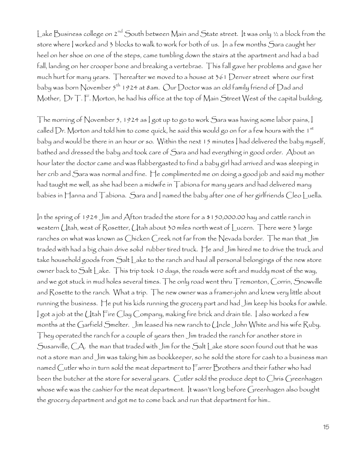Lake Business college on 2<sup>nd</sup> South between Main and State street. It was only 1/2 a block from the store where I worked and 3 blocks to walk to work for both of us. In a few months Sara caught her heel on her shoe on one of the steps, came tumbling down the stairs at the apartment and had a bad fall, landing on her crooper bone and breaking a vertebrae. This fall gave her problems and gave her much hurt for many years. Thereafter we moved to a house at 361 Denver street where our first baby was born November  $5^{\text{th}}$  1924 at 8am. Our Doctor was an old family friend of Dad and Mother, Dr T. F. Morton, he had his office at the top of Main Street West of the capital building.

The morning of November 5, 1924 as I got up to go to work Sara was having some labor pains, I called  $Dr.$  Morton and told him to come quick, he said this would go on for a few hours with the 1st baby and would be there in an hour or so. Within the next 15 minutes I had delivered the baby myself, bathed and dressed the baby and took care of Sara and had everything in good order. About an hour later the doctor came and was flabbergasted to find a baby girl had arrived and was sleeping in her crib and Sara was normal and fine. He complimented me on doing a good job and said my mother had taught me well, as she had been a midwife in Tabiona for many years and had delivered many babies in Hanna and Tabiona. Sara and I named the baby after one of her girlfriends Cleo Luella.

In the spring of 1924 Jim and Afton traded the store for a \$150,000.00 hay and cattle ranch in western Utah, west of Rosetter, Utah about 30 miles north west of Lucern. There were 3 large ranches on what was known as Chicken Creek not far from the Nevada border. The man that Jim traded with had a big chain drive solid rubber tired truck. He and Jim hired me to drive the truck and take household goods from Salt Lake to the ranch and haul all personal belongings of the new store owner back to Salt Lake. This trip took 10 days, the roads were soft and muddy most of the way, and we got stuck in mud holes several times. The only road went thru Tremonton, Corrin, Snowville and Rosette to the ranch. What a trip. The new owner was a framer-john and knew very little about running the business. He put his kids running the grocery part and had Jim keep his books for awhile. I got a job at the Utah Fire Clay Company, making fire brick and drain tile. I also worked a few months at the Garfield Smelter. Jim leased his new ranch to Uncle John White and his wife Ruby. They operated the ranch for a couple of years then Jim traded the ranch for another store in Susanville, CA. the man that traded with Jim for the Salt Lake store soon found out that he was not a store man and Jim was taking him as bookkeeper, so he sold the store for cash to a business man named Cutler who in turn sold the meat department to Farrer Brothers and their father who had been the butcher at the store for several years. Cutler sold the produce dept to Chris Greenhagen whose wife was the cashier for the meat department. It wasn't long before Greenhagen also bought the grocery department and got me to come back and run that department for him..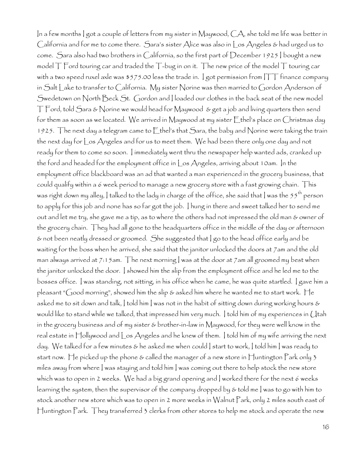In a few months I got a couple of letters from my sister in Maywood, CA, she told me life was better in California and for me to come there. Sara's sister Alice was also in Los Angeles & had urged us to come. Sara also had two brothers in California, so the first part of December 1925 I bought a new model T Ford touring car and traded the T-bug in on it. The new price of the model T touring car with a two speed ruxel axle was \$575.00 less the trade in. | got permission from  $\Box\top\top$  finance company in Salt Lake to transfer to California. My sister Norine was then married to Gordon Anderson of Swedetown on North Beck St. Gordon and I loaded our clothes in the back seat of the new model T Ford, told Sara & Norine we would head for Maywood & get a job and living quarters then send for them as soon as we located. We arrived in Maywood at my sister Ethel's place on Christmas day 1925. The next day a telegram came to Ethel's that Sara, the baby and Norine were taking the train the next day for Los Angeles and for us to meet them. We had been there only one day and not ready for them to come so soon. I immediately went thru the newspaper help wanted ads, cranked up the ford and headed for the employment office in Los Angeles, arriving about 10am. In the employment office blackboard was an ad that wanted a man experienced in the grocery business, that could qualify within a 6 week period to manage a new grocery store with a fast growing chain. This was right down my alley,  $|$  talked to the lady in charge of the office, she said that  $|$  was the 55<sup>th</sup> person to apply for this job and none has so far got the job. I hung in there and sweet talked her to send me out and let me try, she gave me a tip, as to where the others had not impressed the old man & owner of the grocery chain. They had all gone to the headquarters office in the middle of the day or afternoon & not been neatly dressed or groomed. She suggested that I go to the head office early and be waiting for the boss when he arrived, she said that the janitor unlocked the doors at 7am and the old man always arrived at 7:15am. The next morning I was at the door at 7am all groomed my best when the janitor unlocked the door. I showed him the slip from the employment office and he led me to the bosses office. I was standing, not sitting, in his office when he came, he was quite startled. I gave him a pleasant "Good morning", showed him the slip & asked him where he wanted me to start work. He asked me to sit down and talk, I told him I was not in the habit of sitting down during working hours & would like to stand while we talked, that impressed him very much. I told him of my experiences in Utah in the grocery business and of my sister & brother-in-law in Maywood, for they were well know in the real estate in Hollywood and Los Angeles and he knew of them. I told him of my wife arriving the next day. We talked for a few minutes & he asked me when could I start to work, I told him I was ready to start now. He picked up the phone & called the manager of a new store in Huntington Park only 3 miles away from where I was staying and told him I was coming out there to help stock the new store which was to open in 2 weeks. We had a big grand opening and I worked there for the next 6 weeks learning the system, then the supervisor of the company dropped by & told me I was to go with him to stock another new store which was to open in 2 more weeks in Walnut Park, only 2 miles south east of Huntington Park. They transferred 3 clerks from other stores to help me stock and operate the new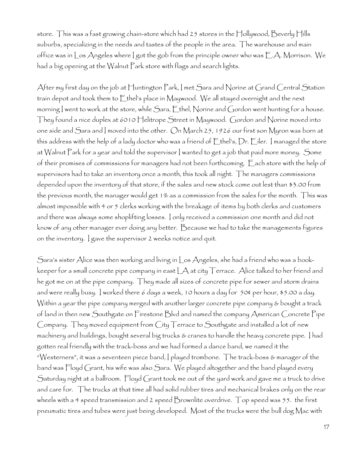store. This was a fast growing chain-store which had 25 stores in the Hollywood, Beverly Hills suburbs, specializing in the needs and tastes of the people in the area. The warehouse and main office was in Los Angeles where I got the gob from the principle owner who was E.A. Morrison. We had a big opening at the Walnut Park store with flags and search lights.

After my first day on the job at Huntington Park, I met Sara and Norine at Grand Central Station train depot and took them to Ethel's place in Maywood. We all stayed overnight and the next morning I went to work at the store, while Sara, Ethel, Norine and Gordon went hunting for a house. They found a nice duplex at 6010 Helitrope Street in Maywood. Gordon and Norine moved into one side and Sara and I moved into the other. On March 25, 1926 our first son Myron was born at this address with the help of a lady doctor who was a friend of Ethel's, Dr. Eiler. I managed the store at Walnut Park for a year and told the supervisor I wanted to get a job that paid more money. Some of their promises of commissions for managers had not been forthcoming. Each store with the help of supervisors had to take an inventory once a month, this took all night. The managers commissions depended upon the inventory of that store, if the sales and new stock come out lest than \$3.00 from the previous month, the manager would get 1% as a commission from the sales for the month. This was almost impossible with 4 or 5 clerks working with the breakage of items by both clerks and customers and there was always some shoplifting losses. I only received a commission one month and did not know of any other manager ever doing any better. Because we had to take the managements figures on the inventory. I gave the supervisor 2 weeks notice and quit.

Sara's sister Alice was then working and living in Los Angeles, she had a friend who was a bookkeeper for a small concrete pipe company in east  $\mathop{\perp\mathcal{A}}$  at city  $\mathop{\top}$ errace.  $\mathop{\mathcal{A}}$ lice talked to her friend and he got me on at the pipe company. They made all sizes of concrete pipe for sewer and storm drains and were really busy. I worked there 6 days a week, 10 hours a day for 50¢ per hour, \$5.00 a day. Within a year the pipe company merged with another larger concrete pipe company & bought a track of land in then new Southgate on Firestone Blvd and named the company American Concrete Pipe Company. They moved equipment from City Terrace to Southgate and installed a lot of new machinery and buildings, bought several big trucks & cranes to handle the heavy concrete pipe. I had gotten real friendly with the track-boss and we had formed a dance band, we named it the "Westerners", it was a seventeen piece band, I played trombone. The track-boss & manager of the band was Floyd Grant, his wife was also Sara. We played altogether and the band played every Saturday night at a ballroom. Floyd Grant took me out of the yard work and gave me a truck to drive and care for. The trucks at that time all had solid rubber tires and mechanical brakes only on the rear wheels with a 4 speed transmission and 2 speed Brownlite overdrive. Top speed was 55. the first pneumatic tires and tubes were just being developed. Most of the trucks were the bull dog Mac with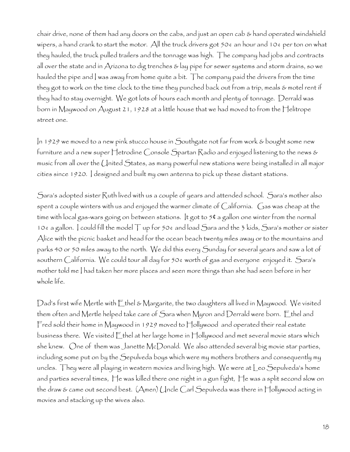chair drive, none of them had any doors on the cabs, and just an open cab & hand operated windshield wipers, a hand crank to start the motor. All the truck drivers got 50¢ an hour and 10¢ per ton on what they hauled, the truck pulled trailers and the tonnage was high. The company had jobs and contracts all over the state and in Arizona to dig trenches & lay pipe for sewer systems and storm drains, so we hauled the pipe and I was away from home quite a bit. The company paid the drivers from the time they got to work on the time clock to the time they punched back out from a trip, meals & motel rent if they had to stay overnight. We got lots of hours each month and plenty of tonnage. Derrald was born in Maywood on August 21, 1928 at a little house that we had moved to from the Helitrope street one.

In 1929 we moved to a new pink stucco house in Southgate not far from work & bought some new furniture and a new super Hetrodine Console Spartan Radio and enjoyed listening to the news & music from all over the United States, as many powerful new stations were being installed in all major cities since 1920. I designed and built my own antenna to pick up these distant stations.

Sara's adopted sister Ruth lived with us a couple of years and attended school. Sara's mother also spent a couple winters with us and enjoyed the warmer climate of California. Gas was cheap at the time with local gas-wars going on between stations. It got to 5¢ a gallon one winter from the normal 10¢ a gallon. I could fill the model T up for 50¢ and load Sara and the 3 kids, Sara's mother or sister Alice with the picnic basket and head for the ocean beach twenty miles away or to the mountains and parks 40 or 50 miles away to the north. We did this every Sunday for several years and saw a lot of southern California. We could tour all day for 50¢ worth of gas and everyone enjoyed it. Sara's mother told me I had taken her more places and seen more things than she had seen before in her whole life.

Dad's first wife Mertle with Ethel & Margarite, the two daughters all lived in Maywood. We visited them often and Mertle helped take care of Sara when Myron and Derrald were born. Ethel and Fred sold their home in Maywood in 1929 moved to Hollywood and operated their real estate business there. We visited Ethel at her large home in Hollywood and met several movie stars which she knew. One of them was Janette McDonald. We also attended several big movie star parties, including some put on by the Sepulveda boys which were my mothers brothers and consequently my uncles. They were all playing in western movies and living high. We were at Leo Sepulveda's home and parties several times, He was killed there one night in a gun fight, He was a split second slow on the draw & came out second best. (Amen) Uncle Carl Sepulveda was there in Hollywood acting in movies and stacking up the wives also.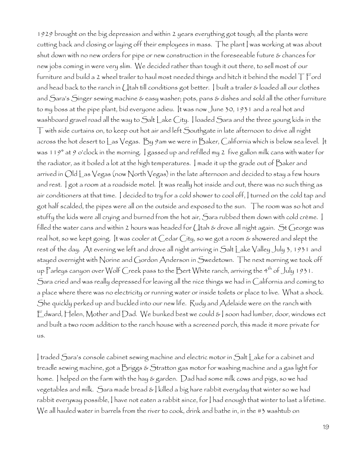1929 brought on the big depression and within 2 years everything got tough; all the plants were cutting back and closing or laying off their employees in mass. The plant I was working at was about shut down with no new orders for pipe or new construction in the foreseeable future & chances for new jobs coming in were very slim. We decided rather than tough it out there, to sell most of our furniture and build a 2 wheel trailer to haul most needed things and hitch it behind the model T Ford and head back to the ranch in Utah till conditions got better. I built a trailer & loaded all our clothes and Sara's Singer sewing machine & easy washer; pots, pans & dishes and sold all the other furniture to my boss at the pipe plant, bid everyone adieu. It was now June 30, 1931 and a real hot and washboard gravel road all the way to Salt Lake City. I loaded Sara and the three young kids in the T with side curtains on, to keep out hot air and left Southgate in late afternoon to drive all night across the hot desert to Las Vegas. By 9am we were in Baker, California which is below sea level. It was 119° at 9 o'clock in the morning. I gassed up and refilled my 2 five gallon milk cans with water for the radiator, as it boiled a lot at the high temperatures. I made it up the grade out of Baker and arrived in Old Las Vegas (now North Vegas) in the late afternoon and decided to stay a few hours and rest. I got a room at a roadside motel. It was really hot inside and out, there was no such thing as air conditioners at that time. I decided to try for a cold shower to cool off, I turned on the cold tap and got half scalded, the pipes were all on the outside and exposed to the sun. The room was so hot and stuffy the kids were all crying and burned from the hot air, Sara rubbed them down with cold crème. I filled the water cans and within 2 hours was headed for Utah & drove all night again. St George was real hot, so we kept going. It was cooler at Cedar City, so we got a room & showered and slept the rest of the day. At evening we left and drove all night arriving in Salt Lake Valley July 3, 1931 and stayed overnight with Norine and Gordon Anderson in Swedetown. The next morning we took off up Parleys canyon over Wolf Creek pass to the Bert White ranch, arriving the  $4^{th}$  of July 1931. Sara cried and was really depressed for leaving all the nice things we had in California and coming to a place where there was no electricity or running water or inside toilets or place to live. What a shock. She quickly perked up and buckled into our new life. Rudy and Adelaide were on the ranch with Edward, Helen, Mother and Dad. We bunked best we could  $\mathcal{E}$  I soon had lumber, door, windows ect and built a two room addition to the ranch house with a screened porch, this made it more private for us.

I traded Sara's console cabinet sewing machine and electric motor in Salt Lake for a cabinet and treadle sewing machine, got a Briggs & Stratton gas motor for washing machine and a gas light for home. I helped on the farm with the hay & garden. Dad had some milk cows and pigs, so we had vegetables and milk. Sara made bread & I killed a big hare rabbit everyday that winter so we had rabbit everyway possible, I have not eaten a rabbit since, for I had enough that winter to last a lifetime. We all hauled water in barrels from the river to cook, drink and bathe in, in the #3 washtub on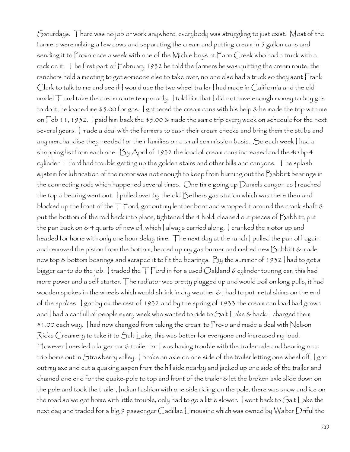Saturdays. There was no job or work anywhere, everybody was struggling to just exist. Most of the farmers were milking a few cows and separating the cream and putting cream in 5 gallon cans and sending it to Provo once a week with one of the Michie boys at Farm Creek who had a truck with a rack on it. The first part of February 1932 he told the farmers he was quitting the cream route, the ranchers held a meeting to get someone else to take over, no one else had a truck so they sent Frank Clark to talk to me and see if ] would use the two wheel trailer ] had made in California and the old model  $\top$  and take the cream route temporarily. I told him that I did not have enough money to buy gas to do it, he loaned me \$5.00 for gas. I gathered the cream cans with his help & he made the trip with me on Feb 11, 1932. I paid him back the \$5.00 & made the same trip every week on schedule for the next several years. I made a deal with the farmers to cash their cream checks and bring them the stubs and any merchandise they needed for their families on a small commission basis. So each week I had a shopping list from each one. By April of 1932 the load of cream cans increased and the 40 hp 4 cylinder T ford had trouble getting up the golden stairs and other hills and canyons. The splash system for lubrication of the motor was not enough to keep from burning out the Babbitt bearings in the connecting rods which happened several times. One time going up Daniels canyon as I reached the top a bearing went out. I pulled over by the old Bethers gas station which was there then and blocked up the front of the  $\top$  Ford, got out my leather boot and wrapped it around the crank shaft & put the bottom of the rod back into place, tightened the 4 bold, cleaned out pieces of Babbitt, put the pan back on & 4 quarts of new oil, which I always carried along. I cranked the motor up and headed for home with only one hour delay time. The next day at the ranch I pulled the pan off again and removed the piston from the bottom, heated up my gas burner and melted new  $B$ abbitt & made new top & bottom bearings and scraped it to fit the bearings. By the summer of 1932 I had to get a bigger car to do the job. I traded the  $\top$  Ford in for a used Oakland 6 cylinder touring car, this had more power and a self starter. The radiator was pretty plugged up and would boil on long pulls, it had wooden spokes in the wheels which would shrink in dry weather & I had to put metal shims on the end of the spokes. I got by ok the rest of 1932 and by the spring of 1933 the cream can load had grown and I had a car full of people every week who wanted to ride to Salt Lake & back, I charged them \$1.00 each way. I had now changed from taking the cream to Provo and made a deal with Nelson Ricks Creamery to take it to Salt Lake, this was better for everyone and increased my load. However I needed a larger car & trailer for I was having trouble with the trailer axle and bearing on a trip home out in Strawberry valley. I broke an axle on one side of the trailer letting one wheel off, I got out my axe and cut a quaking aspen from the hillside nearby and jacked up one side of the trailer and chained one end for the quake-pole to top and front of the trailer & let the broken axle slide down on the pole and took the trailer, Indian fashion with one side riding on the pole, there was snow and ice on the road so we got home with little trouble, only had to go a little slower. I went back to Salt Lake the next day and traded for a big 9 passenger Cadillac Limousine which was owned by Walter Driful the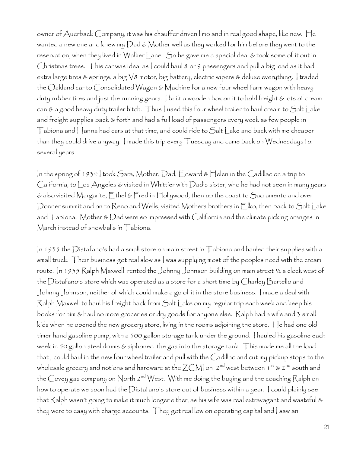owner of Auerback Company, it was his chauffer driven limo and in real good shape, like new. He wanted a new one and knew my  $D$ ad & Mother well as they worked for him before they went to the reservation, when they lived in Walker Lane. So he gave me a special deal & took some of it out in Christmas trees. This car was ideal as | could haul 8 or 9 passengers and pull a big load as it had extra large tires & springs, a big  $\sqrt{8}$  motor, big battery, electric wipers & deluxe everything. I traded the Oakland car to Consolidated Wagon & Machine for a new four wheel farm wagon with heavy duty rubber tires and just the running gears. I built a wooden box on it to hold freight & lots of cream can & a good heavy duty trailer hitch. Thus I used this four wheel trailer to haul cream to Salt Lake and freight supplies back & forth and had a full load of passengers every week as few people in Tabiona and Hanna had cars at that time, and could ride to Salt Lake and back with me cheaper than they could drive anyway. I made this trip every Tuesday and came back on Wednesdays for several years.

In the spring of 1934 I took Sara, Mother, Dad, Edward & Helen in the Cadillac on a trip to California, to Los Angeles & visited in Whittier with Dad's sister, who he had not seen in many years & also visited Margarite, Ethel & Fred in Hollywood, then up the coast to Sacramento and over Donner summit and on to Reno and Wells, visited Mothers brothers in Elko, then back to Salt Lake and Tabiona. Mother & Dad were so impressed with California and the climate picking oranges in March instead of snowballs in Tabiona.

In 1935 the Distafano's had a small store on main street in Tabiona and hauled their supplies with a small truck. Their business got real slow as I was supplying most of the peoples need with the cream route. In 1935 Ralph Maxwell rented the Johnny Johnson building on main street ½ a clock west of the Distafano's store which was operated as a store for a short time by Charley Bartello and Johnny Johnson, neither of which could make a go of it in the store business. I made a deal with Ralph Maxwell to haul his freight back from Salt Lake on my regular trip each week and keep his books for him & haul no more groceries or dry goods for anyone else. Ralph had a wife and 3 small kids when he opened the new grocery store, living in the rooms adjoining the store. He had one old timer hand gasoline pump, with a 500 gallon storage tank under the ground. I hauled his gasoline each week in 50 gallon steel drums & siphoned the gas into the storage tank. This made me all the load that I could haul in the new four wheel trailer and pull with the Cadillac and cut my pickup stops to the wholesale grocery and notions and hardware at the  $ZCM$  on  $2^{nd}$  west between 1st &  $2^{nd}$  south and the Covey gas company on North 2<sup>nd</sup> West. With me doing the buying and the coaching Ralph on how to operate we soon had the Distafano's store out of business within a year. I could plainly see that  $R$ alph wasn't going to make it much longer either, as his wife was real extravagant and wasteful & they were to easy with charge accounts. They got real low on operating capital and I saw an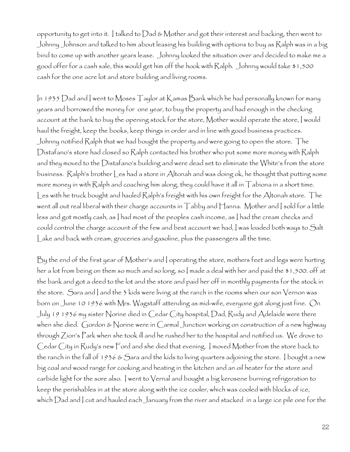opportunity to get into it. I talked to  $D$ ad & Mother and got their interest and backing, then went to Johnny Johnson and talked to him about leasing his building with options to buy as Ralph was in a big bind to come up with another years lease. Johnny looked the situation over and decided to make me a good offer for a cash sale, this would get him off the hook with Ralph. Johnny would take \$1,500 cash for the one acre lot and store building and living rooms.

In 1935 Dad and I went to Moses Taylor at Kamas Bank which he had personally known for many years and borrowed the money for one year, to buy the property and had enough in the checking account at the bank to buy the opening stock for the store, Mother would operate the store, I would haul the freight, keep the books, keep things in order and in line with good business practices. Johnny notified Ralph that we had bought the property and were going to open the store. The Distafano's store had closed so Ralph contacted his brother who put some more money with Ralph and they moved to the Distafano's building and were dead set to eliminate the White's from the store business. Ralph's brother Les had a store in Altonah and was doing ok, he thought that putting some more money in with Ralph and coaching him along, they could have it all in Tabiona in a short time. Les with he truck bought and hauled Ralph's freight with his own freight for the Altonah store. The went all out real liberal with their charge accounts in Tabby and Hanna. Mother and I sold for a little less and got mostly cash, as I had most of the peoples cash income, as I had the cream checks and could control the charge account of the few and best account we had, I was loaded both ways to Salt Lake and back with cream, groceries and gasoline, plus the passengers all the time.

By the end of the first year of Mother's and I operating the store, mothers feet and legs were hurting her a lot from being on them so much and so long, so I made a deal with her and paid the \$1,500. off at the bank and got a deed to the lot and the store and paid her off in monthly payments for the stock in the store. Sara and I and the 3 kids were living at the ranch in the rooms when our son Vernon was born on June 10 1936 with Mrs. Wagstaff attending as mid-wife, everyone got along just fine. On July 19 1936 my sister Norine died in Cedar City hospital, Dad, Rudy and Adelaide were there when she died. Gordon & Norine were in Carmal Junction working on construction of a new highway through Zion's Park when she took ill and he rushed her to the hospital and notified us. We drove to Cedar City in Rudy's new Ford and she died that evening. I moved Mother from the store back to the ranch in the fall of 1936  $\&$  Sara and the kids to living quarters adjoining the store. I bought a new big coal and wood range for cooking and heating in the kitchen and an oil heater for the store and carbide light for the sore also. I went to Vernal and bought a big kerosene burning refrigeration to keep the perishables in at the store along with the ice cooler, which was cooled with blocks of ice, which Dad and I cut and hauled each January from the river and stacked in a large ice pile one for the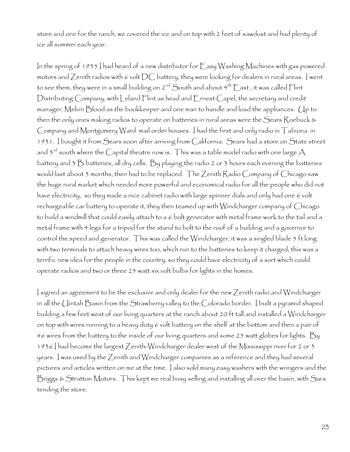store and one for the ranch, we covered the ice and on top with 2 feet of sawdust and had plenty of ice all summer each year.

In the spring of 1935 I had heard of a new distributor for Easy Washing Machines with gas powered motors and Zenith radios with 6 volt  $DC$  battery, they were looking for dealers in rural areas. I went to see them, they were in a small building on  $2^{nd}$  South and about  $4^{th}$  East , it was called Flint Distributing Company, with Leland Flint as head and Ernest Capel, the secretary and credit manager, Melvin Blood as the bookkeeper and one man to handle and load the appliances. Up to then the only ones making radios to operate on batteries in rural areas were the Sears Roebuck & Company and Montgomery Ward mail order houses. I had the first and only radio in Tabiona in 1931. I bought it from Sears soon after arriving from California. Sears had a store on State street and  $3^{rd}$  south where the Capital theatre now is. This was a table model radio with one large A battery and 3 B batteries, all dry cells. By playing the radio 2 or 3 hours each evening the batteries would last about 3 months, then had to be replaced. The Zenith Radio Company of Chicago saw the huge rural market which needed more powerful and economical radio for all the people who did not have electricity, so they made a nice cabinet radio with large spinner dials and only had one 6 volt rechargeable car battery to operate it, they then teamed up with Windcharger company of Chicago to build a windmill that could easily attach to a 6 bolt generator with metal frame work to the tail and a metal frame with 4 legs for a tripod for the stand to bolt to the roof of a building and a governor to control the speed and generator. This was called the Windcharger, it was a singled blade 5 ft long with two terminals to attach heavy wires too, which run to the batteries to keep it charged, this was a terrific new idea for the people in the country, so they could have electricity of a sort which could operate radios and two or three 25 watt six volt bulbs for lights in the homes.

I signed an agreement to be the exclusive and only dealer for the new Zenith radio and Windcharger in all the Uintah Basin from the Strawberry valley to the Colorado border. I built a pyramid shaped building a few feet west of our living quarters at the ranch about 20 ft tall and installed a Windcharger on top with wires running to a heavy duty 6 volt battery on the shelf at the bottom and then a pair of #6 wires from the battery to the inside of our living quarters and some 25 watt globes for lights. By 1936 I had become the largest Zenith-Windcharger dealer west of the Mississippi river for 2 or 3 years. I was used by the Zenith and Windcharger companies as a reference and they had several pictures and articles written on me at the time. I also sold many easy washers with the wringers and the Briggs & Stratton Motors. This kept me real busy selling and installing all over the basin, with Sara tending the store.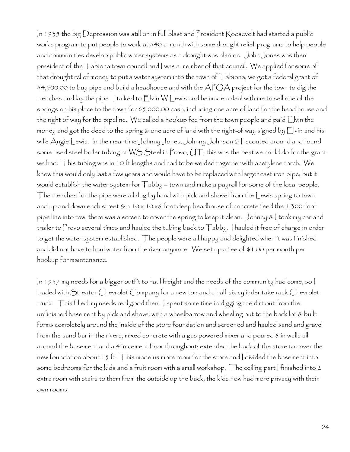In 1935 the big Depression was still on in full blast and President Roosevelt had started a public works program to put people to work at \$40 a month with some drought relief programs to help people and communities develop public water systems as a drought was also on. John Jones was then president of the Tabiona town council and I was a member of that council. We applied for some of that drought relief money to put a water system into the town of Tabiona, we got a federal grant of \$4,500.00 to buy pipe and build a headhouse and with the  ${\sf APQA}$  project for the town to dig the trenches and lay the pipe. I talked to Elvin W Lewis and he made a deal with me to sell one of the springs on his place to the town for \$5,000.00 cash, including one acre of land for the head house and the right of way for the pipeline. We called a hookup fee from the town people and paid Elvin the money and got the deed to the spring  $\varepsilon$  one acre of land with the right-of way signed by  $\sqsubset$  lvin and his wife Angie Lewis. In the meantime Johnny Jones, Johnny Johnson & I scouted around and found some used steel boiler tubing at WS Steel in Provo, UT, this was the best we could do for the grant we had. This tubing was in 10 ft lengths and had to be welded together with acetylene torch. We knew this would only last a few years and would have to be replaced with larger cast iron pipe; but it would establish the water system for Tabby – town and make a payroll for some of the local people. The trenches for the pipe were all dug by hand with pick and shovel from the Lewis spring to town and up and down each street & a 10 x 10 x6 foot deep headhouse of concrete feed the 1,300 foot pipe line into tow, there was a screen to cover the spring to keep it clean. Johnny & I took my car and trailer to Provo several times and hauled the tubing back to Tabby. I hauled it free of charge in order to get the water system established. The people were all happy and delighted when it was finished and did not have to haul water from the river anymore. We set up a fee of \$1.00 per month per hookup for maintenance.

In 1937 my needs for a bigger outfit to haul freight and the needs of the community had come, so I traded with Streator Chevrolet Company for a new ton and a half six cylinder take rack Chevrolet truck. This filled my needs real good then. I spent some time in digging the dirt out from the unfinished basement by pick and shovel with a wheelbarrow and wheeling out to the back lot & built forms completely around the inside of the store foundation and screened and hauled sand and gravel from the sand bar in the rivers, mixed concrete with a gas powered mixer and poured 8 in walls all around the basement and a 4 in cement floor throughout; extended the back of the store to cover the new foundation about 15 ft. This made us more room for the store and I divided the basement into some bedrooms for the kids and a fruit room with a small workshop. The ceiling part I finished into 2 extra room with stairs to them from the outside up the back, the kids now had more privacy with their own rooms.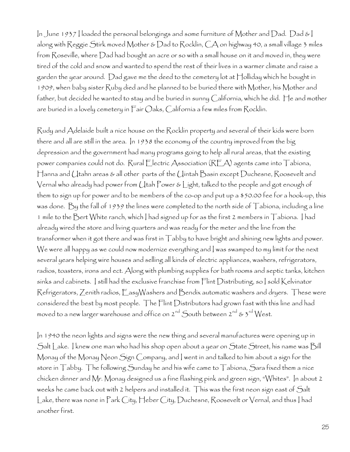In June 1937 I loaded the personal belongings and some furniture of Mother and Dad. Dad & I along with Reggie Stirk moved Mother & Dad to Rocklin, CA on highway 40, a small village 3 miles from Roseville, where Dad had bought an acre or so with a small house on it and moved in, they were tired of the cold and snow and wanted to spend the rest of their lives in a warmer climate and raise a garden the year around. Dad gave me the deed to the cemetery lot at Holliday which he bought in 1909, when baby sister Ruby died and he planned to be buried there with Mother, his Mother and father, but decided he wanted to stay and be buried in sunny California, which he did. He and mother are buried in a lovely cemetery in Fair Oaks, California a few miles from Rocklin.

Rudy and Adelaide built a nice house on the Rocklin property and several of their kids were born there and all are still in the area. In 1938 the economy of the country improved from the big depression and the government had many programs going to help all rural areas, that the existing power companies could not do. Rural Electric Association (REA) agents came into Tabiona, Hanna and Utahn areas & all other parts of the Uintah Basin except Duchesne, Roosevelt and Vernal who already had power from Utah Power & Light, talked to the people and got enough of them to sign up for power and to be members of the co-op and put up a \$50.00 fee for a hook-up, this was done. By the fall of 1939 the lines were completed to the north side of Tabiona, including a line 1 mile to the Bert White ranch, which I had signed up for as the first 2 members in Tabiona. I had already wired the store and living quarters and was ready for the meter and the line from the transformer when it got there and was first in Tabby to have bright and shining new lights and power. We were all happy as we could now modernize everything and I was swamped to my limit for the next several years helping wire houses and selling all kinds of electric appliances, washers, refrigerators, radios, toasters, irons and ect. Along with plumbing supplies for bath rooms and septic tanks, kitchen sinks and cabinets. I still had the exclusive franchise from Flint Distributing, so I sold Kelvinator Refrigerators, Zenith radios, EasyWashers and Bendix automatic washers and dryers. These were considered the best by most people. The Flint Distributors had grown fast with this line and had moved to a new larger warehouse and office on  $2^{nd}$  South between  $2^{nd}$  &  $3^{rd}$  West.

In 1940 the neon lights and signs were the new thing and several manufactures were opening up in Salt Lake. I knew one man who had his shop open about a year on State Street, his name was Bill Monay of the Monay Neon Sign Company, and I went in and talked to him about a sign for the store in Tabby. The following Sunday he and his wife came to Tabiona, Sara fixed them a nice chicken dinner and Mr. Monay designed us a fine flashing pink and green sign, "Whites". In about 2 weeks he came back out with 2 helpers and installed it. This was the first neon sign east of Salt Lake, there was none in Park City, Heber City, Duchesne, Roosevelt or Vernal, and thus I had another first.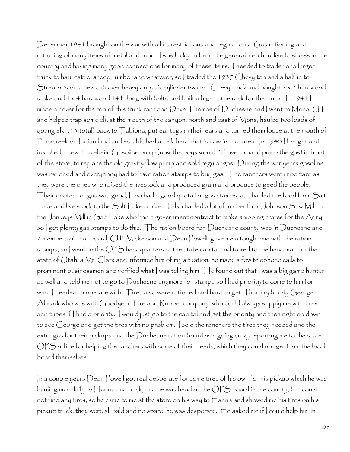December 1941 brought on the war with all its restrictions and regulations. Gas rationing and rationing of many items of metal and food. I was lucky to be in the general merchandise business in the country and having many good connections for many of these items. I needed to trade for a larger truck to haul cattle, sheep, lumber and whatever, so I traded the 1937 Chevy ton and a half in to Streator's on a new cab over heavy duty six cylinder two ton Chevy truck and bought 2 x 2 hardwood stake and 1 x 4 hardwood 14 ft long with bolts and built a high cattle rack for the truck. In 1941 I made a cover for the top of this truck rack and Dave Thomas of Duchesne and I went to Mona,  $\mathcal{U}\mathsf{T}$ and helped trap some elk at the mouth of the canyon, north and east of Mona; hauled two loads of young elk, (13 total) back to Tabiona, put ear tags in their ears and turned them loose at the mouth of  $\top$ armcreek on Indian land and established an elk herd that is now in that area. In 1940 | bought and installed a new Tokeheim Gasoline pump (now the boys wouldn't have to hand pump the gas) in front of the store, to replace the old gravity flow pump and sold regular gas. During the war years gasoline was rationed and everybody had to have ration stamps to buy gas. The ranchers were important as they were the ones who raised the livestock and produced grain and produce to geed the people. Their quotes for gas was good, I too had a good quota for gas stamps, as I hauled the food from Salt Lake and live stock to the Salt Lake market. I also hauled a lot of lumber from Johnson Saw Mill to the Jankeys Mill in Salt Lake who had a government contract to make shipping crates for the Army, so I got plenty gas stamps to do this. The ration board for Duchesne county was in Duchesne and 2 members of that board, Cliff Mickelson and Dean Powell, gave me a tough time with the ration stamps, so I went to the OPS headquarters at the state capital and talked to the head man for the state of Utah, a Mr. Clark and informed him of my situation, he made a few telephone calls to prominent businessmen and verified what I was telling him. He found out that I was a big game hunter as well and told me not to go to Duchesne anymore for stamps so I had priority to come to him for what I needed to operate with. Tires also were rationed and hard to get. I had my buddy George Allmark who was with Goodyear Tire and Rubber company, who could always supply me with tires and tubes if I had a priority. I would just go to the capital and get the priority and then right on down to see George and get the tires with no problem. I sold the ranchers the tires they needed and the extra gas for their pickups and the Duchesne ration board was going crazy reporting me to the state OPS office for helping the ranchers with some of their needs, which they could not get from the local board themselves.

In a couple years Dean Powell got real desperate for some tires of his own for his pickup which he was hauling mail daily to Hanna and back, and he was head of the OPS board in the county, but could not find any tires, so he came to me at the store on his way to Hanna and showed me his tires on his pickup truck, they were all bald and no spare, he was desperate. He asked me if I could help him in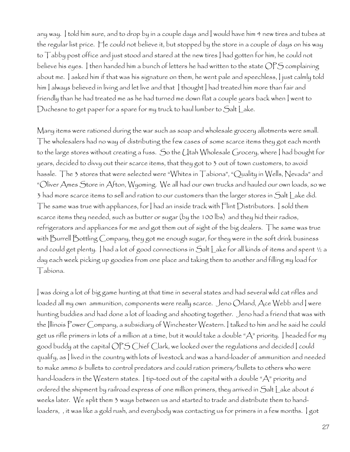any way. I told him sure, and to drop by in a couple days and I would have him 4 new tires and tubes at the regular list price. He could not believe it, but stopped by the store in a couple of days on his way to Tabby post office and just stood and stared at the new tires I had gotten for him, he could not believe his eyes. I then handed him a bunch of letters he had written to the state  ${\rm OPS}$  complaining about me. I asked him if that was his signature on them, he went pale and speechless, I just calmly told him I always believed in living and let live and that I thought I had treated him more than fair and friendly than he had treated me as he had turned me down flat a couple years back when I went to Duchesne to get paper for a spare for my truck to haul lumber to Salt Lake.

Many items were rationed during the war such as soap and wholesale grocery allotments were small. The wholesalers had no way of distributing the few cases of some scarce items they got each month to the large stores without creating a fuss. So the Utah Wholesale Grocery, where I had bought for years, decided to divvy out their scarce items, that they got to 3 out of town customers, to avoid hassle. The 3 stores that were selected were "Whites in Tabiona", "Quality in Wells, Nevada" and "Oliver Ames Store in Afton, Wyoming. We all had our own trucks and hauled our own loads, so we 3 had more scarce items to sell and ration to our customers than the larger stores in Salt Lake did. The same was true with appliances, for  $|$  had an inside track with  $\Box$ int  $D$ istributors.  $|$  sold them scarce items they needed, such as butter or sugar (by the 100 lbs) and they hid their radios, refrigerators and appliances for me and got them out of sight of the big dealers. The same was true with Burrell Bottling Company, they got me enough sugar, for they were in the soft drink business and could get plenty. I had a lot of good connections in Salt Lake for all kinds of items and spent ½ a day each week picking up goodies from one place and taking them to another and filling my load for Tabiona.

I was doing a lot of big game hunting at that time in several states and had several wild cat rifles and loaded all my own ammunition, components were really scarce. Jeno Orland,  $\bigwedge$ ce Webb and ] were hunting buddies and had done a lot of loading and shooting together. Jeno had a friend that was with the Illinois Power Company, a subsidiary of Winchester Western. I talked to him and he said he could get us rifle primers in lots of a million at a time, but it would take a double "A" priority. I headed for my good buddy at the capital OPS Chief Clark, we looked over the regulations and decided I could qualify, as I lived in the country with lots of livestock and was a hand-loader of ammunition and needed to make ammo & bullets to control predators and could ration primers/bullets to others who were hand-loaders in the Western states. I tip-toed out of the capital with a double "A" priority and ordered the shipment by railroad express of one million primers, they arrived in Salt Lake about 6 weeks later. We split them 3 ways between us and started to trade and distribute them to handloaders, , it was like a gold rush, and everybody was contacting us for primers in a few months. I got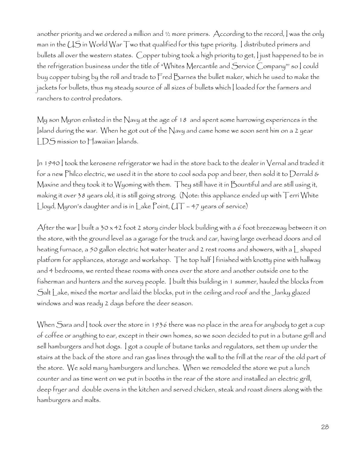another priority and we ordered a million and ½ more primers. According to the record, I was the only man in the US in World War Two that qualified for this type priority. I distributed primers and bullets all over the western states. Copper tubing took a high priority to get, I just happened to be in the refrigeration business under the title of "Whites Mercantile and Service Company"' so I could buy copper tubing by the roll and trade to Fred Barnes the bullet maker, which he used to make the jackets for bullets, thus my steady source of all sizes of bullets which I loaded for the farmers and ranchers to control predators.

My son Myron enlisted in the Navy at the age of 18 and spent some harrowing experiences in the Island during the war. When he got out of the Navy and came home we soon sent him on a 2 year LDS mission to Hawaiian Islands.

In 1940 I took the kerosene refrigerator we had in the store back to the dealer in Vernal and traded it for a new Philco electric, we used it in the store to cool soda pop and beer, then sold it to Derrald & Maxine and they took it to Wyoming with them. They still have it in Bountiful and are still using it, making it over 38 years old, it is still going strong. (Note: this appliance ended up with Terri White Lloyd, Myron's daughter and is in Lake Point,  $UT - 47$  years of service)

After the war I built a 30 x 42 foot 2 story cinder block building with a 6 foot breezeway between it on the store, with the ground level as a garage for the truck and car, having large overhead doors and oil heating furnace, a 50 gallon electric hot water heater and 2 rest rooms and showers, with a L shaped platform for appliances, storage and workshop. The top half I finished with knotty pine with hallway and 4 bedrooms, we rented these rooms with ones over the store and another outside one to the fisherman and hunters and the survey people. I built this building in 1 summer, hauled the blocks from Salt Lake, mixed the mortar and laid the blocks, put in the ceiling and roof and the Janky glazed windows and was ready 2 days before the deer season.

When Sara and I took over the store in 1936 there was no place in the area for anybody to get a cup of coffee or anything to ear, except in their own homes, so we soon decided to put in a butane grill and sell hamburgers and hot dogs. I got a couple of butane tanks and regulators, set them up under the stairs at the back of the store and ran gas lines through the wall to the frill at the rear of the old part of the store. We sold many hamburgers and lunches. When we remodeled the store we put a lunch counter and as time went on we put in booths in the rear of the store and installed an electric grill, deep fryer and double ovens in the kitchen and served chicken, steak and roast diners along with the hamburgers and malts.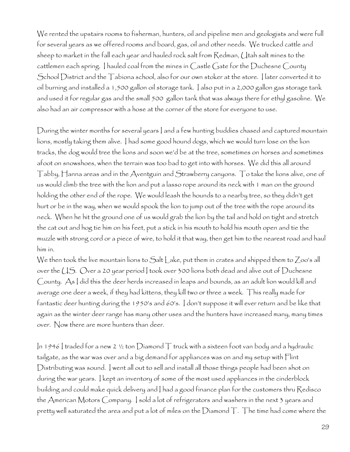We rented the upstairs rooms to fisherman, hunters, oil and pipeline men and geologists and were full for several years as we offered rooms and board, gas, oil and other needs. We trucked cattle and sheep to market in the fall each year and hauled rock salt from Redman, Utah salt mines to the cattlemen each spring. I hauled coal from the mines in Castle Gate for the Duchesne County School District and the  $\top$ abiona school, also for our own stoker at the store. I later converted it to oil burning and installed a 1,500 gallon oil storage tank. I also put in a 2,000 gallon gas storage tank and used it for regular gas and the small 500 gallon tank that was always there for ethyl gasoline. We also had an air compressor with a hose at the corner of the store for everyone to use.

During the winter months for several years I and a few hunting buddies chased and captured mountain lions, mostly taking them alive. I had some good hound dogs, which we would turn lose on the lion tracks, the dog would tree the lions and soon we'd be at the tree, sometimes on horses and sometimes afoot on snowshoes, when the terrain was too bad to get into with horses. We did this all around Tabby, Hanna areas and in the Aventguin and Strawberry canyons. To take the lions alive, one of us would climb the tree with the lion and put a lasso rope around its neck with 1 man on the ground holding the other end of the rope. We would leash the hounds to a nearby tree, so they didn't get hurt or be in the way, when we would spook the lion to jump out of the tree with the rope around its neck. When he hit the ground one of us would grab the lion by the tail and hold on tight and stretch the cat out and hog tie him on his feet, put a stick in his mouth to hold his mouth open and tie the muzzle with strong cord or a piece of wire, to hold it that way, then get him to the nearest road and haul him in.

We then took the live mountain lions to Salt Lake, put them in crates and shipped them to Zoo's all over the US. Over a 20 year period I took over 300 lions both dead and alive out of Duchesne County. As I did this the deer herds increased in leaps and bounds, as an adult lion would kill and average one deer a week, if they had kittens, they kill two or three a week. This really made for fantastic deer hunting during the 1950's and 60's. I don't suppose it will ever return and be like that again as the winter deer range has many other uses and the hunters have increased many, many times over. Now there are more hunters than deer.

In 1946 I traded for a new 2 ½ ton Díamond  $\top$  truck with a sixteen foot van body and a hydraulic tailgate, as the war was over and a big demand for appliances was on and my setup with Flint Distributing was sound. I went all out to sell and install all those things people had been shot on during the war years. I kept an inventory of some of the most used appliances in the cinderblock building and could make quick delivery and I had a good finance plan for the customers thru Redisco the American Motors Company. I sold a lot of refrigerators and washers in the next 3 years and pretty well saturated the area and put a lot of miles on the  $D$ iamond  $\top$ . The time had come where the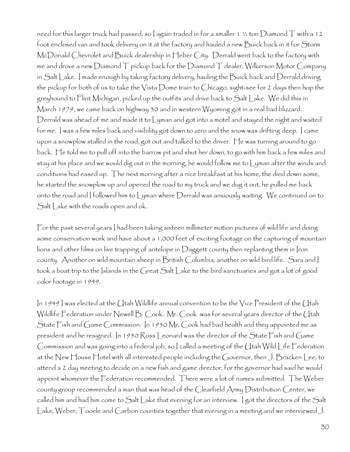need for this larger truck had passed, so a gain traded in for a smaller 1 ½ ton  $D$ iamond  $\top$  with a 12 foot enclosed van and took delivery on it at the factory and hauled a new Buick back in it for Storm McDonald Chevrolet and Buick dealership in Heber City. Derrald went back to the factory with me and drove a new Diamond T pickup back for the Diamond T dealer, Wilkerson Motor Company in Salt Lake. I made enough by taking factory delivery, hauling the Buick back and Derrald driving the pickup for both of us to take the Vista Dome train to Chicago, sight-see for 2 days then hop the greyhound to Flint Michigan, picked up the outfits and drive back to Salt Lake. We did this in March 1979, we came back on highway 30 and in western Wyoming got in a real bad blizzard. Derrald was ahead of me and made it to Lyman and got into a motel and stayed the night and waited for me. I was a few miles back and visibility got down to zero and the snow was drifting deep. I came upon a snowplow stalled in the road, got out and talked to the driver. He was turning around to go back. He told me to pull off into the barrow pit and shut her down, to go with him back a few miles and stay at his place and we would dig out in the morning, he would follow me to Lyman after the winds and conditions had eased up. The next morning after a nice breakfast at his home, the died down some, he started the snowplow up and opened the road to my truck and we dug it out, he pulled me back onto the road and I followed him to Lyman where Derrald was anxiously waiting. We continued on to Salt Lake with the roads open and ok.

For the past several years I had been taking sixteen millimeter motion pictures of wild life and doing some conservation work and have about a 1,000 feet of exciting footage on the capturing of mountain lions and other films on live trapping of antelope in Daggett county then replanting them in Iron county. Another on wild mountain sheep in British Columbia, another on wild bird life. Sara and I took a boat trip to the Islands in the Great Salt Lake to the bird sanctuaries and got a lot of good color footage in 1949.

In 1949 I was elected at the Utah Wildlife annual convention to be the Vice President of the Utah Wildlife Federation under Newell B. Cook. Mr. Cook was for several years director of the Utah State Fish and Game Commission. In 1950 Mr. Cook had bad health and they appointed me as president and he resigned. In 1950 Ross Leonard was the director of the State Fish and Game Commission and was going into a federal job, so I called a meeting of the Utah Wild Life Federation at the New House Hotel with all interested people including the Governor, then J. Bracken Lee, to attend a 2 day meeting to decide on a new fish and game director, for the governor had said he would appoint whomever the Federation recommended. There were a lot of names submitted. The Weber county group recommended a man that was head of the Clearfield Army Distribution Center, we called him and had him come to Salt Lake that evening for an interview. I got the directors of the Salt Lake, Weber, Tooele and Carbon counties together that evening in a meeting and we interviewed J.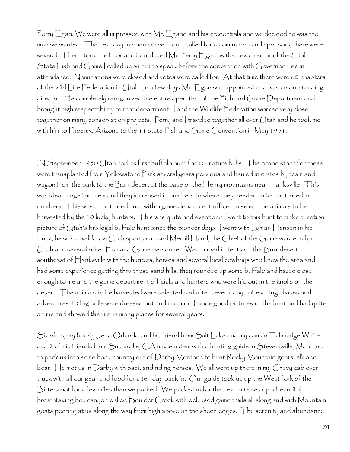Perry Egan. We were all impressed with Mr. Egand and his credentials and we decided he was the man we wanted. The next day in open convention I called for a nomination and sponsors, there were several. Then I took the floor and introduced Mr. Perry  $E$  gan as the new director of the Utah State Fish and Game | called upon him to speak before the convention with Governor Lee in attendance. Nominations were closed and votes were called for. At that time there were 60 chapters of the wild Life Federation in Utah. In a few days Mr. Egan was appointed and was an outstanding director. He completely reorganized the entire operation of the Fish and Game Department and brought high respectability to that department. I and the Wildlife Federation worked very close together on many conservation projects. Perry and I traveled together all over Utah and he took me with him to Phoenix, Arizona to the 11 state Fish and Game Convention in May 1951.

IN September 1950 Utah had its first buffalo hunt for 10 mature bulls. The brood stock for these were transplanted from Yellowstone Park several years pervious and hauled in crates by team and wagon from the park to the Burr desert at the base of the Henry mountains near Hanksville. This was ideal range for them and they increased in numbers to where they needed to be controlled in numbers. This was a controlled hunt with a game department officer to select the animals to be harvested by the 10 lucky hunters. This was quite and event and went to this hunt to make a motion picture of Utah's firs legal buffalo hunt since the pioneer days. I went with Lyman Hansen in his truck, he was a well know Utah sportsman and Merrill Hand, the Chief of the Game wardens for Utah and several other Fish and Game personnel. We camped in tents on the Burr desert southeast of Hanksville with the hunters, horses and several local cowboys who knew the area and had some experience getting thru these sand hills, they rounded up some buffalo and hazed close enough to me and the game department officials and hunters who were hid out in the knolls on the desert. The animals to be harvested were selected and after several days of exciting chases and adventures 10 big bulls were dressed out and in camp. I made good pictures of the hunt and had quite a time and showed the film in many places for several years.

Six of us, my buddy Jeno Orlando and his friend from Salt Lake and my cousin Tallmadge White and 2 of his friends from Susanville, CA made a deal with a hunting guide in Stevensville, Montana to pack us into some back country out of Darby Montana to hunt Rocky Mountain goats, elk and bear. He met us in Darby with pack and riding horses. We all went up there in my Chevy cab over truck with all our gear and food for a ten day pack in. Our guide took us up the West fork of the Bitter-root for a few miles then we parked. We packed in for the next 10 miles up a beautiful breathtaking box canyon walled Boulder Creek with well used game trails all along and with Mountain goats peering at us along the way from high above on the sheer ledges. The serenity and abundance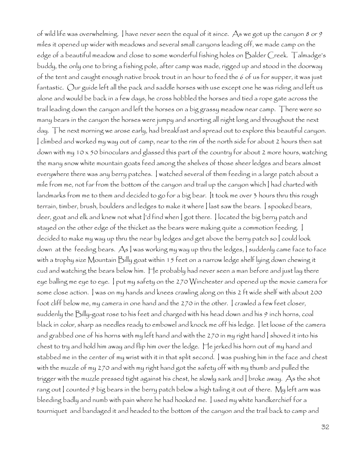of wild life was overwhelming. I have never seen the equal of it since. As we got up the canyon 8 or 9 miles it opened up wider with meadows and several small canyons leading off, we made camp on the edge of a beautiful meadow and close to some wonderful fishing holes on Balder Creek. Talmadge's buddy, the only one to bring a fishing pole, after camp was made, rigged up and stood in the doorway of the tent and caught enough native brook trout in an hour to feed the 6 of us for supper, it was just fantastic. Our guide left all the pack and saddle horses with use except one he was riding and left us alone and would be back in a few days, he cross hobbled the horses and tied a rope gate across the trail leading down the canyon and left the horses on a big grassy meadow near camp. There were so many bears in the canyon the horses were jumpy and snorting all night long and throughout the next day. The next morning we arose early, had breakfast and spread out to explore this beautiful canyon. I climbed and worked my way out of camp, near to the rim of the north side for about 2 hours then sat down with my 10 x 50 binoculars and glassed this part of the country for about 2 more hours, watching the many snow white mountain goats feed among the shelves of those sheer ledges and bears almost everywhere there was any berry patches. I watched several of them feeding in a large patch about a mile from me, not far from the bottom of the canyon and trail up the canyon which I had charted with landmarks from me to them and decided to go for a big bear. It took me over 3 hours thru this rough terrain, timber, brush, boulders and ledges to make it where I last saw the bears. I spooked bears, deer, goat and elk and knew not what I'd find when I got there. I located the big berry patch and stayed on the other edge of the thicket as the bears were making quite a commotion feeding. I decided to make my way up thru the near by ledges and get above the berry patch so I could look down at the feeding bears. As I was working my way up thru the ledges, I suddenly came face to face with a trophy size Mountain Billy goat within 15 feet on a narrow ledge shelf lying down chewing it cud and watching the bears below him. He probably had never seen a man before and just lay there eye balling me eye to eye. I put my safety on the 270 Winchester and opened up the movie camera for some close action. I was on my hands and knees crawling along on this 2 ft wide shelf with about 200 foot cliff below me, my camera in one hand and the 270 in the other. I crawled a few feet closer, suddenly the Billy-goat rose to his feet and charged with his head down and his 9 inch horns, coal black in color, sharp as needles ready to embowel and knock me off his ledge. I let loose of the camera and grabbed one of his horns with my left hand and with the 270 in my right hand I shoved it into his chest to try and hold him away and flip him over the ledge. He jerked his horn out of my hand and stabbed me in the center of my wrist with it in that split second. I was pushing him in the face and chest with the muzzle of my 270 and with my right hand got the safety off with my thumb and pulled the trigger with the muzzle pressed tight against his chest, he slowly sank and I broke away. As the shot rang out  $|$  counted 9 big bears in the berry patch below a high tailing it out of there. My left arm was bleeding badly and numb with pain where he had hooked me. I used my white handkerchief for a tourniquet and bandaged it and headed to the bottom of the canyon and the trail back to camp and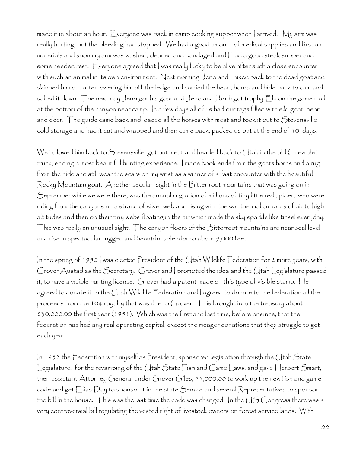made it in about an hour. Everyone was back in camp cooking supper when | arrived. My arm was really hurting, but the bleeding had stopped. We had a good amount of medical supplies and first aid materials and soon my arm was washed, cleaned and bandaged and I had a good steak supper and some needed rest. Everyone agreed that | was really lucky to be alive after such a close encounter with such an animal in its own environment. Next morning Jeno and I hiked back to the dead goat and skinned him out after lowering him off the ledge and carried the head, horns and hide back to cam and salted it down. The next day Jeno got his goat and Jeno and I both got trophy Elk on the game trail at the bottom of the canyon near camp. In a few days all of us had our tags filled with elk, goat, bear and deer.  $\top$ he guide came back and loaded all the horses with meat and took it out to  $\mathcal S$ tevensville cold storage and had it cut and wrapped and then came back, packed us out at the end of 10 days.

We followed him back to Stevensville, got out meat and headed back to Utah in the old Chevrolet truck, ending a most beautiful hunting experience. I made book ends from the goats horns and a rug from the hide and still wear the scars on my wrist as a winner of a fast encounter with the beautiful Rocky Mountain goat. Another secular sight in the Bitter root mountains that was going on in September while we were there, was the annual migration of millions of tiny little red spiders who were riding from the canyons on a strand of silver web and rising with the war thermal currants of air to high altitudes and then on their tiny webs floating in the air which made the sky sparkle like tinsel everyday. This was really an unusual sight. The canyon floors of the Bitterroot mountains are near seal level and rise in spectacular rugged and beautiful splendor to about 9,000 feet.

In the spring of 1950 I was elected President of the Utah Wildlife Federation for 2 more years, with Grover Austad as the Secretary. Grover and I promoted the idea and the Utah Legislature passed it, to have a visible hunting license. Grover had a patent made on this type of visible stamp. He agreed to donate it to the Utah Wildlife Federation and I agreed to donate to the federation all the proceeds from the 10¢ royalty that was due to Grover. This brought into the treasury about \$30,000.00 the first year (1951). Which was the first and last time, before or since, that the federation has had any real operating capital, except the meager donations that they struggle to get each year.

In 1952 the Federation with myself as President, sponsored legislation through the Utah State Legislature, for the revamping of the Utah State Fish and Game Laws, and gave Herbert Smart, then assistant Attorney General under Grover Giles, \$5,000.00 to work up the new fish and game code and get  $\mathsf E$  lias  $\mathsf D$ ay to sponsor it in the state Senate and several Representatives to sponsor the bill in the house. This was the last time the code was changed. In the US Congress there was a very controversial bill regulating the vested right of livestock owners on forest service lands. With